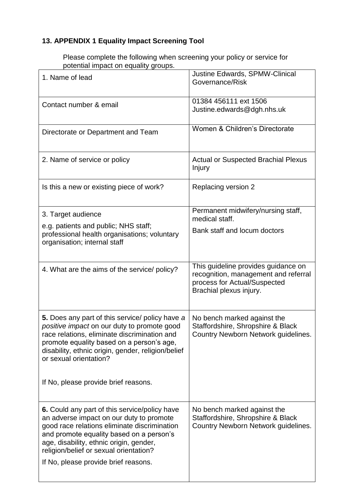## **13. APPENDIX 1 Equality Impact Screening Tool**

Please complete the following when screening your policy or service for potential impact on equality groups.

| 1. Name of lead                                                                                                                                                                                                                                                                                                           | Justine Edwards, SPMW-Clinical<br>Governance/Risk                                                                                      |
|---------------------------------------------------------------------------------------------------------------------------------------------------------------------------------------------------------------------------------------------------------------------------------------------------------------------------|----------------------------------------------------------------------------------------------------------------------------------------|
| Contact number & email                                                                                                                                                                                                                                                                                                    | 01384 456111 ext 1506<br>Justine.edwards@dgh.nhs.uk                                                                                    |
| Directorate or Department and Team                                                                                                                                                                                                                                                                                        | Women & Children's Directorate                                                                                                         |
| 2. Name of service or policy                                                                                                                                                                                                                                                                                              | <b>Actual or Suspected Brachial Plexus</b><br>Injury                                                                                   |
| Is this a new or existing piece of work?                                                                                                                                                                                                                                                                                  | Replacing version 2                                                                                                                    |
| 3. Target audience<br>e.g. patients and public; NHS staff;<br>professional health organisations; voluntary<br>organisation; internal staff                                                                                                                                                                                | Permanent midwifery/nursing staff,<br>medical staff.<br>Bank staff and locum doctors                                                   |
| 4. What are the aims of the service/ policy?                                                                                                                                                                                                                                                                              | This guideline provides guidance on<br>recognition, management and referral<br>process for Actual/Suspected<br>Brachial plexus injury. |
| 5. Does any part of this service/ policy have a<br>positive impact on our duty to promote good<br>race relations, eliminate discrimination and<br>promote equality based on a person's age,<br>disability, ethnic origin, gender, religion/belief<br>or sexual orientation?<br>If No, please provide brief reasons.       | No bench marked against the<br>Staffordshire, Shropshire & Black<br>Country Newborn Network guidelines.                                |
| <b>6.</b> Could any part of this service/policy have<br>an adverse impact on our duty to promote<br>good race relations eliminate discrimination<br>and promote equality based on a person's<br>age, disability, ethnic origin, gender,<br>religion/belief or sexual orientation?<br>If No, please provide brief reasons. | No bench marked against the<br>Staffordshire, Shropshire & Black<br>Country Newborn Network guidelines.                                |